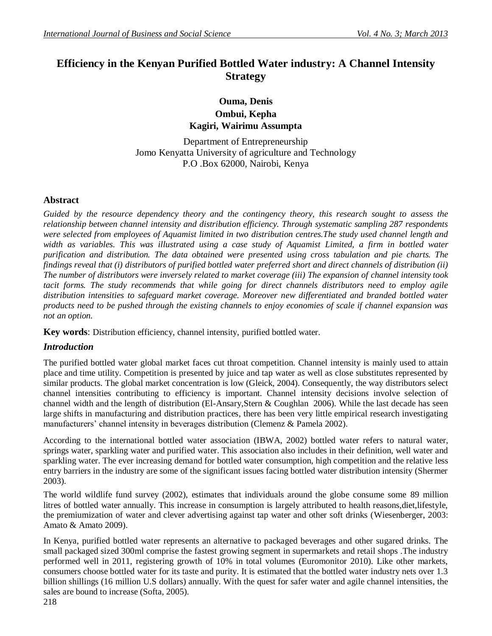# **Efficiency in the Kenyan Purified Bottled Water industry: A Channel Intensity Strategy**

## **Ouma, Denis Ombui, Kepha Kagiri, Wairimu Assumpta**

Department of Entrepreneurship Jomo Kenyatta University of agriculture and Technology P.O .Box 62000, Nairobi, Kenya

## **Abstract**

*Guided by the resource dependency theory and the contingency theory, this research sought to assess the relationship between channel intensity and distribution efficiency. Through systematic sampling 287 respondents were selected from employees of Aquamist limited in two distribution centres.The study used channel length and width as variables. This was illustrated using a case study of Aquamist Limited, a firm in bottled water purification and distribution. The data obtained were presented using cross tabulation and pie charts. The findings reveal that (i) distributors of purified bottled water preferred short and direct channels of distribution (ii) The number of distributors were inversely related to market coverage (iii) The expansion of channel intensity took tacit forms. The study recommends that while going for direct channels distributors need to employ agile distribution intensities to safeguard market coverage. Moreover new differentiated and branded bottled water products need to be pushed through the existing channels to enjoy economies of scale if channel expansion was not an option.*

**Key words**: Distribution efficiency, channel intensity, purified bottled water.

## *Introduction*

The purified bottled water global market faces cut throat competition. Channel intensity is mainly used to attain place and time utility. Competition is presented by juice and tap water as well as close substitutes represented by similar products. The global market concentration is low (Gleick, 2004). Consequently, the way distributors select channel intensities contributing to efficiency is important. Channel intensity decisions involve selection of channel width and the length of distribution (El-Ansary,Stern & Coughlan 2006). While the last decade has seen large shifts in manufacturing and distribution practices, there has been very little empirical research investigating manufacturers' channel intensity in beverages distribution (Clemenz & Pamela 2002).

According to the international bottled water association (IBWA, 2002) bottled water refers to natural water, springs water, sparkling water and purified water. This association also includes in their definition, well water and sparkling water. The ever increasing demand for bottled water consumption, high competition and the relative less entry barriers in the industry are some of the significant issues facing bottled water distribution intensity (Shermer 2003).

The world wildlife fund survey (2002), estimates that individuals around the globe consume some 89 million litres of bottled water annually. This increase in consumption is largely attributed to health reasons,diet,lifestyle, the premiumization of water and clever advertising against tap water and other soft drinks (Wiesenberger, 2003: Amato & Amato 2009).

In Kenya, purified bottled water represents an alternative to packaged beverages and other sugared drinks. The small packaged sized 300ml comprise the fastest growing segment in supermarkets and retail shops .The industry performed well in 2011, registering growth of 10% in total volumes (Euromonitor 2010). Like other markets, consumers choose bottled water for its taste and purity. It is estimated that the bottled water industry nets over 1.3 billion shillings (16 million U.S dollars) annually. With the quest for safer water and agile channel intensities, the sales are bound to increase (Softa, 2005).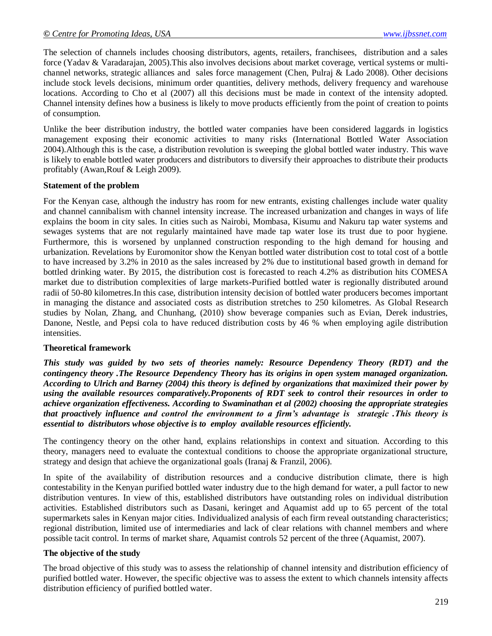The selection of channels includes choosing distributors, agents, retailers, franchisees, distribution and a sales force (Yadav & Varadarajan, 2005).This also involves decisions about market coverage, vertical systems or multichannel networks, strategic alliances and sales force management (Chen, Pulraj & Lado 2008). Other decisions include stock levels decisions, minimum order quantities, delivery methods, delivery frequency and warehouse locations. According to Cho et al (2007) all this decisions must be made in context of the intensity adopted. Channel intensity defines how a business is likely to move products efficiently from the point of creation to points of consumption.

Unlike the beer distribution industry, the bottled water companies have been considered laggards in logistics management exposing their economic activities to many risks (International Bottled Water Association 2004).Although this is the case, a distribution revolution is sweeping the global bottled water industry. This wave is likely to enable bottled water producers and distributors to diversify their approaches to distribute their products profitably (Awan,Rouf & Leigh 2009).

#### **Statement of the problem**

For the Kenyan case, although the industry has room for new entrants, existing challenges include water quality and channel cannibalism with channel intensity increase. The increased urbanization and changes in ways of life explains the boom in city sales. In cities such as Nairobi, Mombasa, Kisumu and Nakuru tap water systems and sewages systems that are not regularly maintained have made tap water lose its trust due to poor hygiene. Furthermore, this is worsened by unplanned construction responding to the high demand for housing and urbanization. Revelations by Euromonitor show the Kenyan bottled water distribution cost to total cost of a bottle to have increased by 3.2% in 2010 as the sales increased by 2% due to institutional based growth in demand for bottled drinking water. By 2015, the distribution cost is forecasted to reach 4.2% as distribution hits COMESA market due to distribution complexities of large markets-Purified bottled water is regionally distributed around radii of 50-80 kilometres.In this case, distribution intensity decision of bottled water producers becomes important in managing the distance and associated costs as distribution stretches to 250 kilometres. As Global Research studies by Nolan, Zhang, and Chunhang, (2010) show beverage companies such as Evian, Derek industries, Danone, Nestle, and Pepsi cola to have reduced distribution costs by 46 % when employing agile distribution intensities.

#### **Theoretical framework**

*This study was guided by two sets of theories namely: Resource Dependency Theory (RDT) and the contingency theory .The Resource Dependency Theory has its origins in open system managed organization. According to Ulrich and Barney (2004) this theory is defined by organizations that maximized their power by using the available resources comparatively.Proponents of RDT seek to control their resources in order to achieve organization effectiveness. According to Swaminathan et al (2002) choosing the appropriate strategies that proactively influence and control the environment to a firm's advantage is strategic .This theory is essential to distributors whose objective is to employ available resources efficiently.* 

The contingency theory on the other hand, explains relationships in context and situation. According to this theory, managers need to evaluate the contextual conditions to choose the appropriate organizational structure, strategy and design that achieve the organizational goals (Iranaj & Franzil, 2006).

In spite of the availability of distribution resources and a conducive distribution climate, there is high contestability in the Kenyan purified bottled water industry due to the high demand for water, a pull factor to new distribution ventures. In view of this, established distributors have outstanding roles on individual distribution activities. Established distributors such as Dasani, keringet and Aquamist add up to 65 percent of the total supermarkets sales in Kenyan major cities. Individualized analysis of each firm reveal outstanding characteristics; regional distribution, limited use of intermediaries and lack of clear relations with channel members and where possible tacit control. In terms of market share, Aquamist controls 52 percent of the three (Aquamist, 2007).

#### **The objective of the study**

The broad objective of this study was to assess the relationship of channel intensity and distribution efficiency of purified bottled water. However, the specific objective was to assess the extent to which channels intensity affects distribution efficiency of purified bottled water.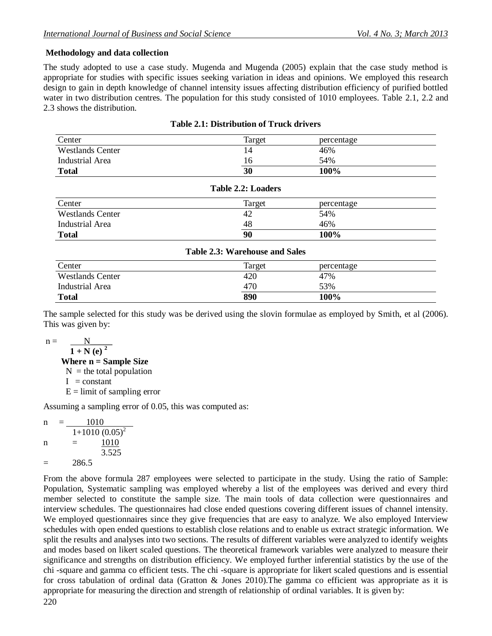### **Methodology and data collection**

The study adopted to use a case study. Mugenda and Mugenda (2005) explain that the case study method is appropriate for studies with specific issues seeking variation in ideas and opinions. We employed this research design to gain in depth knowledge of channel intensity issues affecting distribution efficiency of purified bottled water in two distribution centres. The population for this study consisted of 1010 employees. Table 2.1, 2.2 and 2.3 shows the distribution.

| <b>Table 2.1: Distribution of Truck drivers</b> |  |
|-------------------------------------------------|--|
|                                                 |  |

| Center                  | Target | percentage |
|-------------------------|--------|------------|
| <b>Westlands Center</b> | 14     | 46%        |
| Industrial Area         | 16     | 54%        |
| <b>Total</b>            | 30     | 100%       |

| Table 2.2: Loaders      |        |            |  |  |
|-------------------------|--------|------------|--|--|
| Center                  | Target | percentage |  |  |
| <b>Westlands Center</b> | 42     | 54%        |  |  |
| Industrial Area         | 48     | 46%        |  |  |
| <b>Total</b>            | 90     | 100%       |  |  |

| <b>Table 2.3: Warehouse and Sales</b> |        |            |  |  |  |
|---------------------------------------|--------|------------|--|--|--|
| Center                                | Target | percentage |  |  |  |
| <b>Westlands Center</b>               | 420    | 47%        |  |  |  |
| Industrial Area                       | 470    | 53%        |  |  |  |
| <b>Total</b>                          | 890    | 100%       |  |  |  |

The sample selected for this study was be derived using the slovin formulae as employed by Smith, et al (2006). This was given by:

 $n =$ 

 $1 + N (e)^2$  **Where n = Sample Size**   $N =$  the total population  $I = constant$  $E =$  limit of sampling error

Assuming a sampling error of 0.05, this was computed as:

| n | 1010  |                  |  |
|---|-------|------------------|--|
|   |       | $1+1010(0.05)^2$ |  |
| n |       | 1010             |  |
|   |       | 3.525            |  |
|   | 286.5 |                  |  |

From the above formula 287 employees were selected to participate in the study. Using the ratio of Sample: Population, Systematic sampling was employed whereby a list of the employees was derived and every third member selected to constitute the sample size. The main tools of data collection were questionnaires and interview schedules. The questionnaires had close ended questions covering different issues of channel intensity. We employed questionnaires since they give frequencies that are easy to analyze. We also employed Interview schedules with open ended questions to establish close relations and to enable us extract strategic information. We split the results and analyses into two sections. The results of different variables were analyzed to identify weights and modes based on likert scaled questions. The theoretical framework variables were analyzed to measure their significance and strengths on distribution efficiency. We employed further inferential statistics by the use of the chi -square and gamma co efficient tests. The chi -square is appropriate for likert scaled questions and is essential for cross tabulation of ordinal data (Gratton & Jones 2010).The gamma co efficient was appropriate as it is appropriate for measuring the direction and strength of relationship of ordinal variables. It is given by: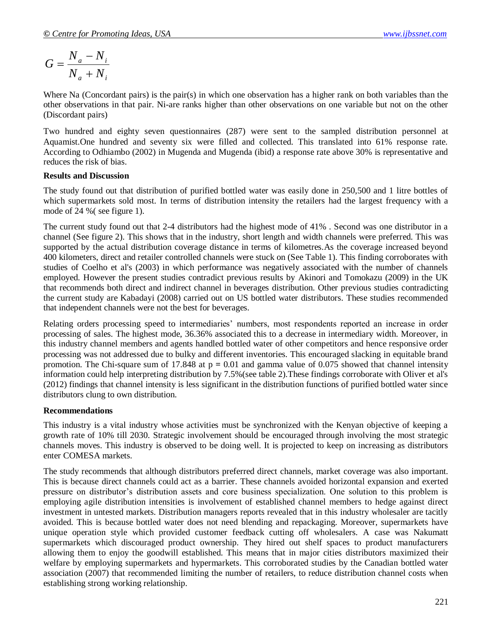$$
G = \frac{N_a - N_i}{N_a + N_i}
$$

Where Na (Concordant pairs) is the pair(s) in which one observation has a higher rank on both variables than the other observations in that pair. Ni-are ranks higher than other observations on one variable but not on the other (Discordant pairs)

Two hundred and eighty seven questionnaires (287) were sent to the sampled distribution personnel at Aquamist.One hundred and seventy six were filled and collected. This translated into 61% response rate. According to Odhiambo (2002) in Mugenda and Mugenda (ibid) a response rate above 30% is representative and reduces the risk of bias.

#### **Results and Discussion**

The study found out that distribution of purified bottled water was easily done in 250,500 and 1 litre bottles of which supermarkets sold most. In terms of distribution intensity the retailers had the largest frequency with a mode of 24 %( see figure 1).

The current study found out that 2-4 distributors had the highest mode of 41% . Second was one distributor in a channel (See figure 2). This shows that in the industry, short length and width channels were preferred. This was supported by the actual distribution coverage distance in terms of kilometres.As the coverage increased beyond 400 kilometers, direct and retailer controlled channels were stuck on (See Table 1). This finding corroborates with studies of Coelho et al's (2003) in which performance was negatively associated with the number of channels employed. However the present studies contradict previous results by Akinori and Tomokazu (2009) in the UK that recommends both direct and indirect channel in beverages distribution. Other previous studies contradicting the current study are Kabadayi (2008) carried out on US bottled water distributors. These studies recommended that independent channels were not the best for beverages.

Relating orders processing speed to intermediaries" numbers, most respondents reported an increase in order processing of sales. The highest mode, 36.36% associated this to a decrease in intermediary width. Moreover, in this industry channel members and agents handled bottled water of other competitors and hence responsive order processing was not addressed due to bulky and different inventories. This encouraged slacking in equitable brand promotion. The Chi-square sum of 17.848 at p **=** 0.01 and gamma value of 0.075 showed that channel intensity information could help interpreting distribution by 7.5%(see table 2).These findings corroborate with Oliver et al's (2012) findings that channel intensity is less significant in the distribution functions of purified bottled water since distributors clung to own distribution.

#### **Recommendations**

This industry is a vital industry whose activities must be synchronized with the Kenyan objective of keeping a growth rate of 10% till 2030. Strategic involvement should be encouraged through involving the most strategic channels moves. This industry is observed to be doing well. It is projected to keep on increasing as distributors enter COMESA markets.

The study recommends that although distributors preferred direct channels, market coverage was also important. This is because direct channels could act as a barrier. These channels avoided horizontal expansion and exerted pressure on distributor"s distribution assets and core business specialization. One solution to this problem is employing agile distribution intensities is involvement of established channel members to hedge against direct investment in untested markets. Distribution managers reports revealed that in this industry wholesaler are tacitly avoided. This is because bottled water does not need blending and repackaging. Moreover, supermarkets have unique operation style which provided customer feedback cutting off wholesalers. A case was Nakumatt supermarkets which discouraged product ownership. They hired out shelf spaces to product manufacturers allowing them to enjoy the goodwill established. This means that in major cities distributors maximized their welfare by employing supermarkets and hypermarkets. This corroborated studies by the Canadian bottled water association (2007) that recommended limiting the number of retailers, to reduce distribution channel costs when establishing strong working relationship.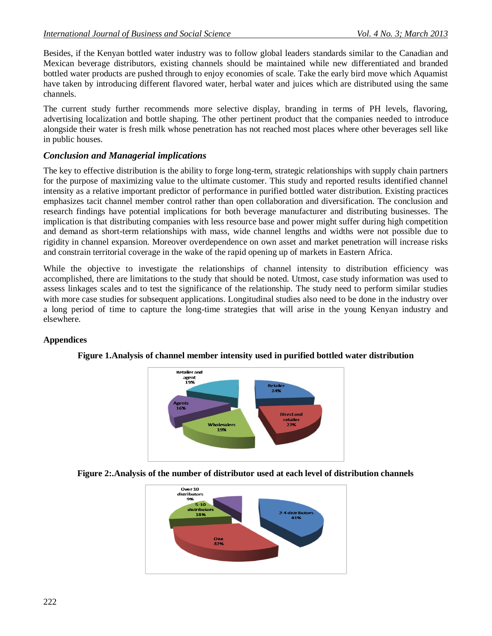Besides, if the Kenyan bottled water industry was to follow global leaders standards similar to the Canadian and Mexican beverage distributors, existing channels should be maintained while new differentiated and branded bottled water products are pushed through to enjoy economies of scale. Take the early bird move which Aquamist have taken by introducing different flavored water, herbal water and juices which are distributed using the same channels.

The current study further recommends more selective display, branding in terms of PH levels, flavoring, advertising localization and bottle shaping. The other pertinent product that the companies needed to introduce alongside their water is fresh milk whose penetration has not reached most places where other beverages sell like in public houses.

## *Conclusion and Managerial implications*

The key to effective distribution is the ability to forge long-term, strategic relationships with supply chain partners for the purpose of maximizing value to the ultimate customer. This study and reported results identified channel intensity as a relative important predictor of performance in purified bottled water distribution. Existing practices emphasizes tacit channel member control rather than open collaboration and diversification. The conclusion and research findings have potential implications for both beverage manufacturer and distributing businesses. The implication is that distributing companies with less resource base and power might suffer during high competition and demand as short-term relationships with mass, wide channel lengths and widths were not possible due to rigidity in channel expansion. Moreover overdependence on own asset and market penetration will increase risks and constrain territorial coverage in the wake of the rapid opening up of markets in Eastern Africa.

While the objective to investigate the relationships of channel intensity to distribution efficiency was accomplished, there are limitations to the study that should be noted. Utmost, case study information was used to assess linkages scales and to test the significance of the relationship. The study need to perform similar studies with more case studies for subsequent applications. Longitudinal studies also need to be done in the industry over a long period of time to capture the long-time strategies that will arise in the young Kenyan industry and elsewhere.

## **Appendices**



## **Figure 1.Analysis of channel member intensity used in purified bottled water distribution**

**Figure 2:.Analysis of the number of distributor used at each level of distribution channels**

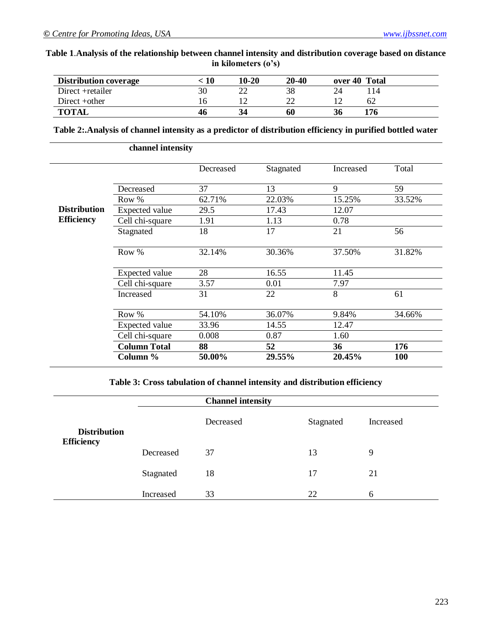## **Table 1**.**Analysis of the relationship between channel intensity and distribution coverage based on distance in kilometers (o's)**

| <b>Distribution coverage</b> | 10 | $10-20$ | 20-40 |    | over 40 Total |
|------------------------------|----|---------|-------|----|---------------|
| Direct + retailer            |    | $\cap$  | 38    |    | 14ء           |
| Direct +other                |    |         |       |    | 62            |
| <b>TOTAL</b>                 | 46 |         | 60    | 36 | '76           |

#### **Table 2:.Analysis of channel intensity as a predictor of distribution efficiency in purified bottled water**

|                     | channel intensity     |           |           |           |        |
|---------------------|-----------------------|-----------|-----------|-----------|--------|
|                     |                       | Decreased | Stagnated | Increased | Total  |
|                     | Decreased             | 37        | 13        | 9         | 59     |
|                     | Row %                 | 62.71%    | 22.03%    | 15.25%    | 33.52% |
| <b>Distribution</b> | <b>Expected value</b> | 29.5      | 17.43     | 12.07     |        |
| <b>Efficiency</b>   | Cell chi-square       | 1.91      | 1.13      | 0.78      |        |
|                     | Stagnated             | 18        | 17        | 21        | 56     |
|                     | Row %                 | 32.14%    | 30.36%    | 37.50%    | 31.82% |
|                     | Expected value        | 28        | 16.55     | 11.45     |        |
|                     | Cell chi-square       | 3.57      | 0.01      | 7.97      |        |
|                     | Increased             | 31        | 22        | 8         | 61     |
|                     | Row %                 | 54.10%    | 36.07%    | 9.84%     | 34.66% |
|                     | Expected value        | 33.96     | 14.55     | 12.47     |        |
|                     | Cell chi-square       | 0.008     | 0.87      | 1.60      |        |
|                     | <b>Column Total</b>   | 88        | 52        | 36        | 176    |
|                     | Column %              | 50.00%    | 29.55%    | 20.45%    | 100    |

## **Table 3: Cross tabulation of channel intensity and distribution efficiency**

|                     |           | <b>Channel intensity</b> |           |           |
|---------------------|-----------|--------------------------|-----------|-----------|
| <b>Distribution</b> |           | Decreased                | Stagnated | Increased |
| <b>Efficiency</b>   | Decreased | 37                       | 13        | 9         |
|                     | Stagnated | 18                       | 17        | 21        |
|                     | Increased | 33                       | 22        | 6         |